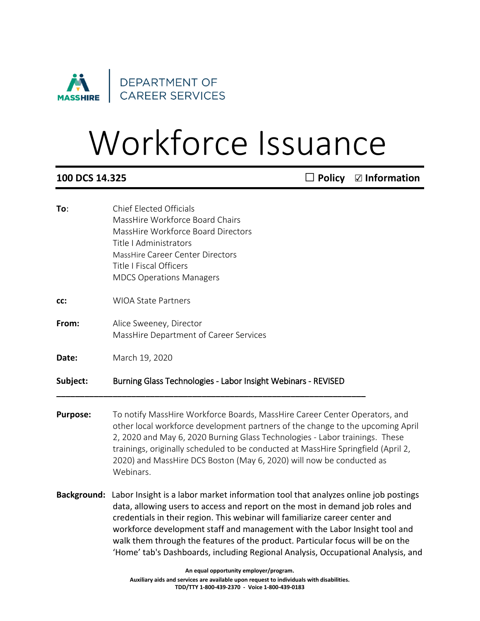

## Workforce Issuance

**100 DCS 14.325** ◻ **Policy** ☑ **Information**

- **To**: Chief Elected Officials MassHire Workforce Board Chairs MassHire Workforce Board Directors Title I Administrators MassHire Career Center Directors Title I Fiscal Officers MDCS Operations Managers **cc:** WIOA State Partners **From:** Alice Sweeney, Director MassHire Department of Career Services **Date:** March 19, 2020 **Subject:** Burning Glass Technologies - Labor Insight Webinars - REVISED **\_\_\_\_\_\_\_\_\_\_\_\_\_\_\_\_\_\_\_\_\_\_\_\_\_\_\_\_\_\_\_\_\_\_\_\_\_\_\_\_\_\_\_\_\_\_\_\_\_\_\_\_\_\_\_\_\_\_\_\_\_\_\_\_\_\_ Purpose:** To notify MassHire Workforce Boards, MassHire Career Center Operators, and other local workforce development partners of the change to the upcoming April 2, 2020 and May 6, 2020 Burning Glass Technologies - Labor trainings. These trainings, originally scheduled to be conducted at MassHire Springfield (April 2,
	- 2020) and MassHire DCS Boston (May 6, 2020) will now be conducted as Webinars.
- **Background:** Labor Insight is a labor market information tool that analyzes online job postings data, allowing users to access and report on the most in demand job roles and credentials in their region. This webinar will familiarize career center and workforce development staff and management with the Labor Insight tool and walk them through the features of the product. Particular focus will be on the 'Home' tab's Dashboards, including Regional Analysis, Occupational Analysis, and